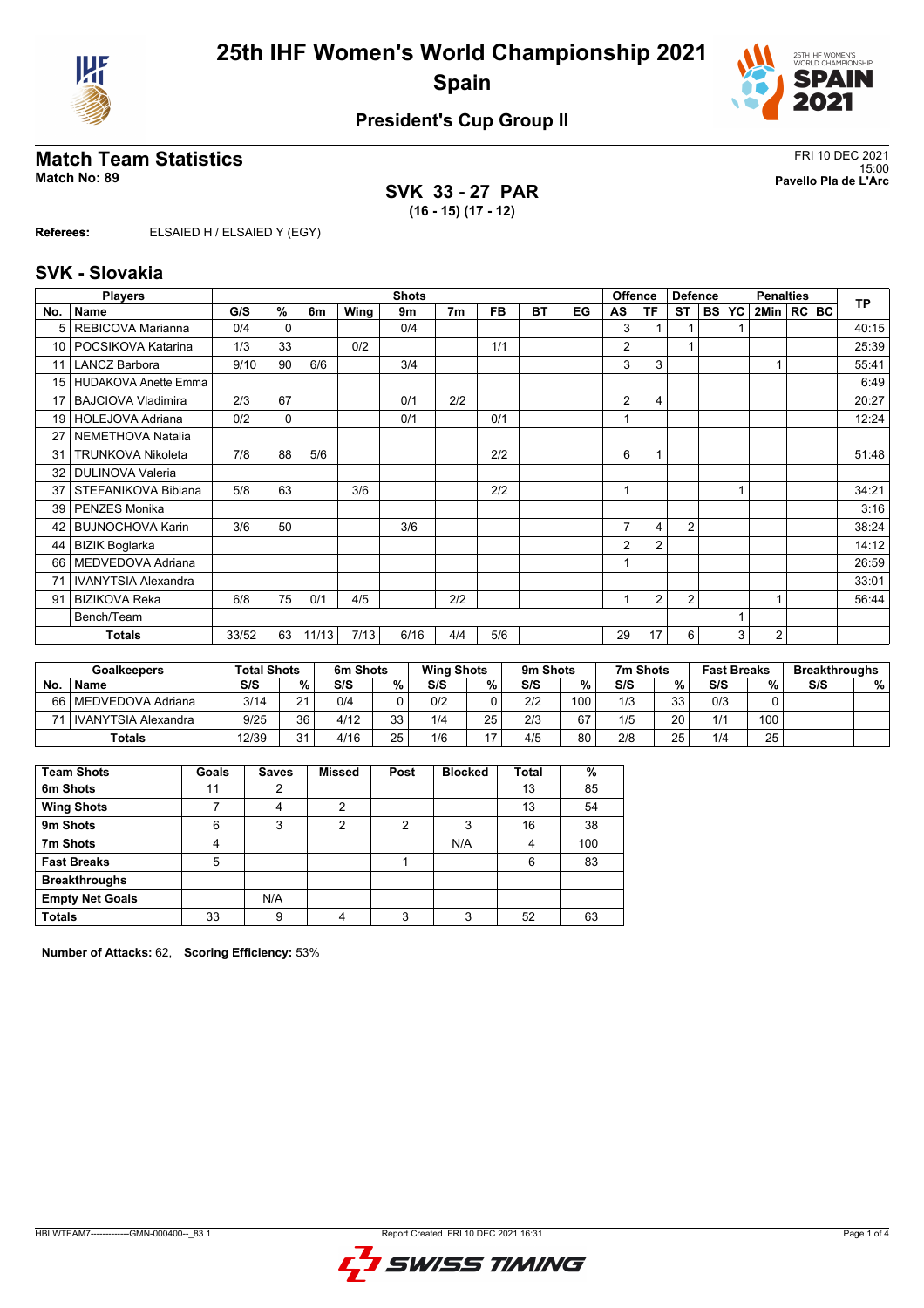



### **President's Cup Group II**

# **Match Team Statistics**<br>Match No: 89<br>Pavello Pla de L'Arc

**SVK 33 - 27 PAR (16 - 15) (17 - 12)**

15:00 **Match No: 89 Pavello Pla de L'Arc**

**Referees:** ELSAIED H / ELSAIED Y (EGY)

#### **SVK - Slovakia**

|                 | <b>Players</b>             |       | <b>Shots</b> |       |      |      |                |     |           |    |                | <b>Offence</b> | <b>Defence</b> |        |    | <b>TP</b>      |  |       |
|-----------------|----------------------------|-------|--------------|-------|------|------|----------------|-----|-----------|----|----------------|----------------|----------------|--------|----|----------------|--|-------|
| No.             | Name                       | G/S   | %            | 6m    | Wing | 9m   | 7 <sub>m</sub> | FB. | <b>BT</b> | EG | AS             | ΤF             | <b>ST</b>      | I BS I | YC | 2Min   RC   BC |  |       |
|                 | REBICOVA Marianna          | 0/4   | $\Omega$     |       |      | 0/4  |                |     |           |    | 3              |                |                |        |    |                |  | 40:15 |
| 10 <sup>1</sup> | POCSIKOVA Katarina         | 1/3   | 33           |       | 0/2  |      |                | 1/1 |           |    | 2              |                | 1              |        |    |                |  | 25:39 |
| 11              | <b>LANCZ Barbora</b>       | 9/10  | 90           | 6/6   |      | 3/4  |                |     |           |    | 3              | 3              |                |        |    |                |  | 55:41 |
| 15              | HUDAKOVA Anette Emma       |       |              |       |      |      |                |     |           |    |                |                |                |        |    |                |  | 6:49  |
| 17              | <b>BAJCIOVA Vladimira</b>  | 2/3   | 67           |       |      | 0/1  | 2/2            |     |           |    | 2              | 4              |                |        |    |                |  | 20:27 |
| 19              | HOLEJOVA Adriana           | 0/2   | 0            |       |      | 0/1  |                | 0/1 |           |    |                |                |                |        |    |                |  | 12:24 |
| 27              | NEMETHOVA Natalia          |       |              |       |      |      |                |     |           |    |                |                |                |        |    |                |  |       |
| 31              | <b>TRUNKOVA Nikoleta</b>   | 7/8   | 88           | 5/6   |      |      |                | 2/2 |           |    | 6              |                |                |        |    |                |  | 51:48 |
| 32              | <b>DULINOVA Valeria</b>    |       |              |       |      |      |                |     |           |    |                |                |                |        |    |                |  |       |
| 37              | STEFANIKOVA Bibiana        | 5/8   | 63           |       | 3/6  |      |                | 2/2 |           |    |                |                |                |        |    |                |  | 34:21 |
| 39              | <b>PENZES Monika</b>       |       |              |       |      |      |                |     |           |    |                |                |                |        |    |                |  | 3:16  |
| 42              | <b>BUJNOCHOVA Karin</b>    | 3/6   | 50           |       |      | 3/6  |                |     |           |    | $\overline{7}$ | 4              | 2              |        |    |                |  | 38:24 |
| 44              | <b>BIZIK Boglarka</b>      |       |              |       |      |      |                |     |           |    | $\overline{2}$ | $\overline{2}$ |                |        |    |                |  | 14:12 |
| 66              | MEDVEDOVA Adriana          |       |              |       |      |      |                |     |           |    |                |                |                |        |    |                |  | 26:59 |
| 71              | <b>IVANYTSIA Alexandra</b> |       |              |       |      |      |                |     |           |    |                |                |                |        |    |                |  | 33:01 |
| 91              | <b>BIZIKOVA Reka</b>       | 6/8   | 75           | 0/1   | 4/5  |      | 2/2            |     |           |    |                | $\overline{2}$ | $\overline{2}$ |        |    |                |  | 56:44 |
|                 | Bench/Team                 |       |              |       |      |      |                |     |           |    |                |                |                |        |    |                |  |       |
|                 | <b>Totals</b>              | 33/52 | 63           | 11/13 | 7/13 | 6/16 | 4/4            | 5/6 |           |    | 29             | 17             | 6              |        | 3  | 2              |  |       |

|      | Goalkeepers           | <b>Total Shots</b> |    | 6m Shots |    | <b>Wing Shots</b> |    | 9 <sub>m</sub> Shots |     | 7m Shots |    | <b>Fast Breaks</b> |     | <b>Breakthroughs</b> |   |
|------|-----------------------|--------------------|----|----------|----|-------------------|----|----------------------|-----|----------|----|--------------------|-----|----------------------|---|
| No.  | <b>Name</b>           | S/S                | %  | S/S      | %  | S/S               | %  | S/S                  | %   | S/S      | %  | S/S                | %   | S/S                  | % |
| 66 I | I MEDVEDOVA Adriana   | 3/14               | 21 | 0/4      |    | 0/2               |    | 2/2                  | 100 | 1/3      | 33 | 0/3                |     |                      |   |
| 71 1 | I IVANYTSIA Alexandra | 9/25               | 36 | 4/12     | っっ | 1/4               | 25 | 2/3                  | 67  | 1/5      | 20 | 1/1                | 100 |                      |   |
|      | Totals                | 12/39              | 21 | 4/16     | 25 | 1/6               |    | 4/5                  | 80  | 2/8      | 25 | 1/4                | 25  |                      |   |

| <b>Team Shots</b>      | Goals | <b>Saves</b> | <b>Missed</b>  | Post | <b>Blocked</b> | Total | %   |
|------------------------|-------|--------------|----------------|------|----------------|-------|-----|
| 6m Shots               | 11    | 2            |                |      |                | 13    | 85  |
| <b>Wing Shots</b>      |       | 4            | $\mathfrak{p}$ |      |                | 13    | 54  |
| 9m Shots               | 6     | 3            | 2              | 2    | 3              | 16    | 38  |
| 7m Shots               | 4     |              |                |      | N/A            | 4     | 100 |
| <b>Fast Breaks</b>     | 5     |              |                |      |                | 6     | 83  |
| <b>Breakthroughs</b>   |       |              |                |      |                |       |     |
| <b>Empty Net Goals</b> |       | N/A          |                |      |                |       |     |
| <b>Totals</b>          | 33    | 9            | 4              | 2    | 3              | 52    | 63  |

**Number of Attacks:** 62, **Scoring Efficiency:** 53%

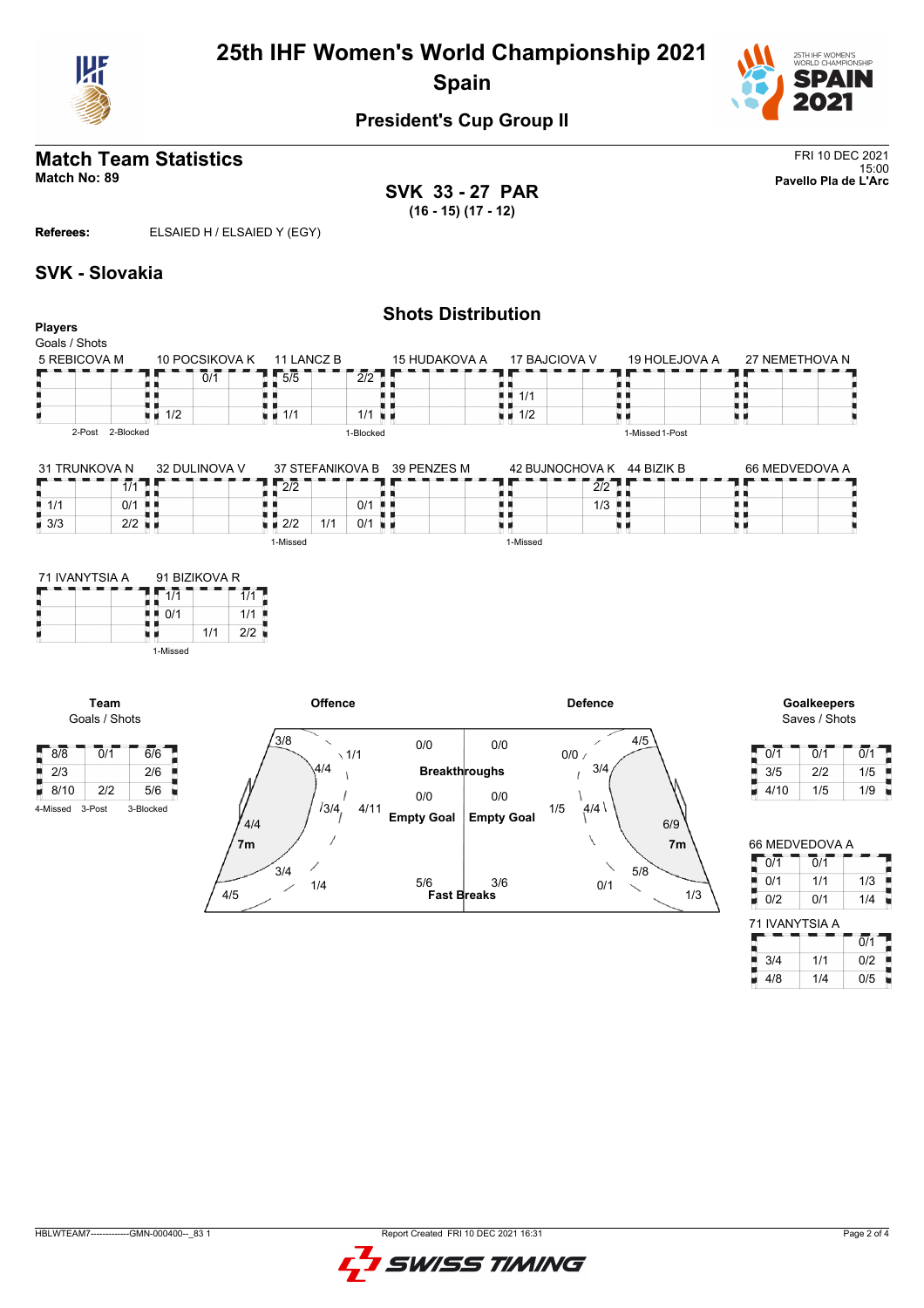

## **25th IHF Women's World Championship 2021 Spain**



#### **President's Cup Group II**

#### **Match Team Statistics** FRI 10 DEC 2021 15:00 **Match No: 89 Pavello Pla de L'Arc**

**SVK 33 - 27 PAR (16 - 15) (17 - 12)**

**Referees:** ELSAIED H / ELSAIED Y (EGY)

#### **SVK - Slovakia**

Goals / Shots

8/8 0/1 6/6  $\frac{2}{3}$  2/3 2/6 8/10 2/2 5/6 4-Missed 3-Post 3-Blocked

B

|                                                |                                   |                |                                   |                  |                      | <b>Shots Distribution</b> |                                          |                                 |                 |                    |
|------------------------------------------------|-----------------------------------|----------------|-----------------------------------|------------------|----------------------|---------------------------|------------------------------------------|---------------------------------|-----------------|--------------------|
| <b>Players</b><br>Goals / Shots                |                                   |                |                                   |                  |                      |                           |                                          |                                 |                 |                    |
| 5 REBICOVA M                                   |                                   | 10 POCSIKOVA K |                                   | 11 LANCZ B       |                      | 15 HUDAKOVA A             |                                          | 17 BAJCIOVA V                   | 19 HOLEJOVA A   | 27 NEMETHOVA N     |
|                                                |                                   | 0/1            | $\overline{1}$ 5/5<br>п.          |                  | 2/2                  |                           |                                          |                                 |                 |                    |
| I                                              |                                   |                |                                   |                  |                      |                           | 1/1<br>н н                               |                                 |                 |                    |
| H                                              | $\blacksquare$ 1/2                |                | $\blacksquare$ $\blacksquare$ 1/1 |                  | $1/1$ $\blacksquare$ |                           | 6 F<br>$\blacksquare$ $\blacksquare$ 1/2 |                                 | u 1             | u p                |
| 2-Post 2-Blocked                               |                                   |                |                                   |                  | 1-Blocked            |                           |                                          |                                 | 1-Missed 1-Post |                    |
|                                                |                                   |                |                                   |                  |                      |                           |                                          |                                 |                 |                    |
| 31 TRUNKOVA N                                  |                                   | 32 DULINOVA V  | $\overline{2}\overline{12}$       | 37 STEFANIKOVA B |                      | 39 PENZES M               |                                          | 42 BUJNOCHOVA K 44 BIZIK B      |                 | 66 MEDVEDOVA A     |
| 1/1                                            | д                                 |                |                                   |                  | $0/1$ $\blacksquare$ |                           | ╻                                        | $\overline{2/2}$ $\overline{p}$ |                 |                    |
| $\frac{1}{2}$ 1/1<br>0/1<br>$\blacksquare$ 3/3 | . .<br>$2/2$ $\blacksquare$       |                |                                   | 1/1              | $0/1$ u m            |                           |                                          | $1/3$ $\blacksquare$            |                 |                    |
|                                                |                                   |                | $\blacksquare$ $\blacksquare$ 2/2 |                  |                      |                           | U U                                      |                                 | U U             | 風 風                |
|                                                |                                   |                | 1-Missed                          |                  |                      |                           | 1-Missed                                 |                                 |                 |                    |
| 71 IVANYTSIA A                                 |                                   | 91 BIZIKOVA R  |                                   |                  |                      |                           |                                          |                                 |                 |                    |
|                                                | 1/1<br>Б                          |                | $\overline{1/1}$                  |                  |                      |                           |                                          |                                 |                 |                    |
|                                                | $\blacksquare$ $\blacksquare$ 0/1 |                | 1/1                               |                  |                      |                           |                                          |                                 |                 |                    |
|                                                | . .<br>星星                         | 1/1            | 2/2                               |                  |                      |                           |                                          |                                 |                 |                    |
|                                                | 1-Missed                          |                |                                   |                  |                      |                           |                                          |                                 |                 |                    |
|                                                |                                   |                |                                   |                  |                      |                           |                                          |                                 |                 |                    |
| Team                                           |                                   |                |                                   | <b>Offence</b>   |                      |                           |                                          | <b>Defence</b>                  |                 | <b>Goalkeepers</b> |



Saves / Shots

| 0/1  | 0/1 | 0/1 |
|------|-----|-----|
| 3/5  | 2/2 | 1/5 |
| 4/10 | 1/5 | 1/9 |

| 66 MEDVEDOVA A |                  |                  |  |  |  |  |  |  |  |  |
|----------------|------------------|------------------|--|--|--|--|--|--|--|--|
| 0/1            | $\overline{0}/1$ |                  |  |  |  |  |  |  |  |  |
| 0/1<br>Į       | 1/1              | 1/3              |  |  |  |  |  |  |  |  |
| 0/2            | 0/1              | 1/4              |  |  |  |  |  |  |  |  |
|                |                  |                  |  |  |  |  |  |  |  |  |
| 71 IVANYTSIA A |                  |                  |  |  |  |  |  |  |  |  |
|                |                  | $\overline{0/1}$ |  |  |  |  |  |  |  |  |
| 3/4            | 1/1              | 0/2              |  |  |  |  |  |  |  |  |
| 4/8            | 1/4              | 0/5              |  |  |  |  |  |  |  |  |

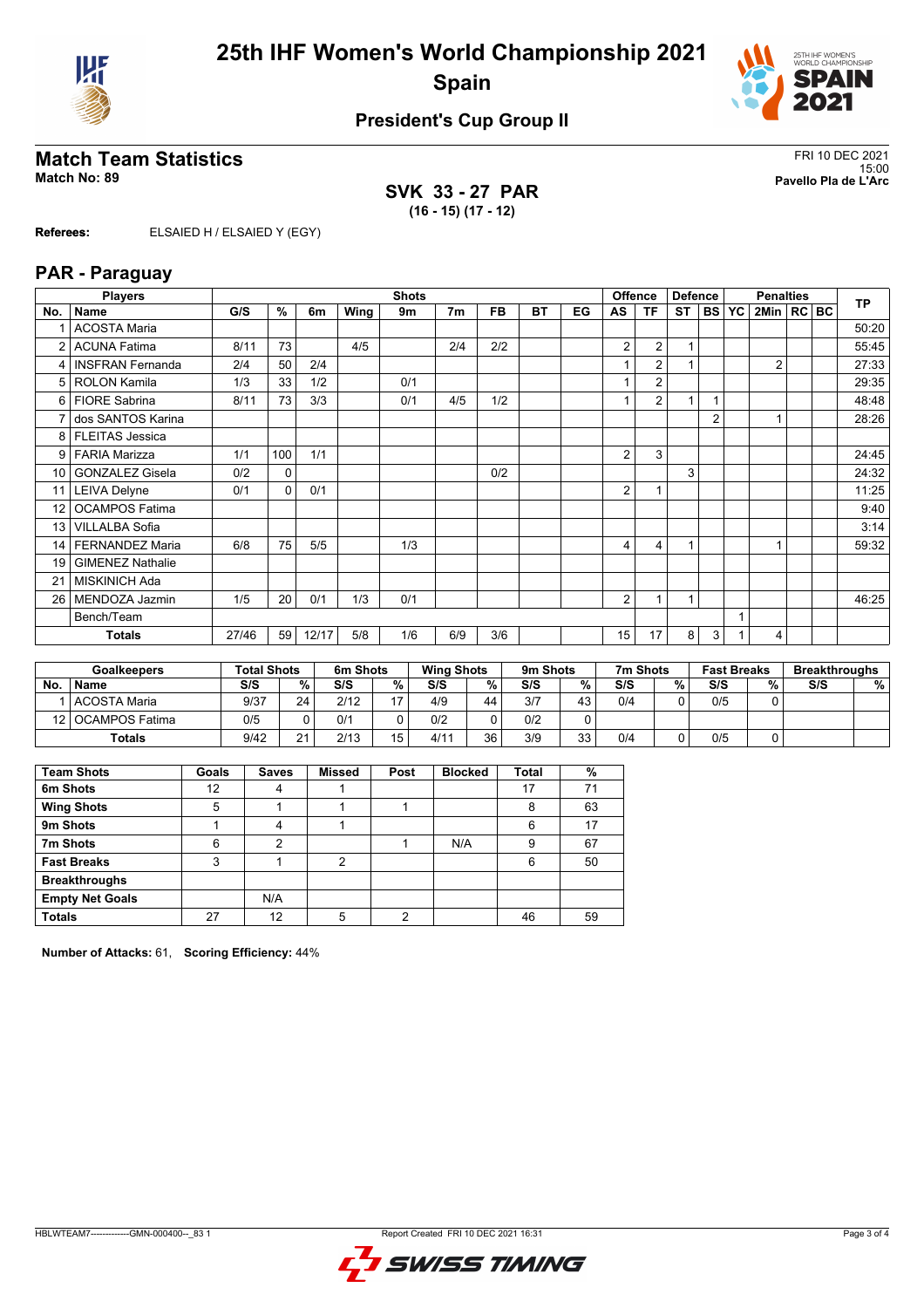



### **President's Cup Group II**

#### **Match Team Statistics** FRI 10 DEC 2021

**SVK 33 - 27 PAR (16 - 15) (17 - 12)**

15:00 **Match No: 89 Pavello Pla de L'Arc**

**Referees:** ELSAIED H / ELSAIED Y (EGY)

#### **PAR - Paraguay**

|                 | <b>Players</b><br><b>Shots</b> |       |     |       |      |     |                |           |           |    | Offence<br><b>Defence</b> |                |                | <b>Penalties</b> |  |                |  | <b>TP</b> |       |
|-----------------|--------------------------------|-------|-----|-------|------|-----|----------------|-----------|-----------|----|---------------------------|----------------|----------------|------------------|--|----------------|--|-----------|-------|
| No.             | Name                           | G/S   | %   | 6m    | Wing | 9m  | 7 <sub>m</sub> | <b>FB</b> | <b>BT</b> | EG | AS                        | ΤF             | <b>ST</b>      | <b>BS YC</b>     |  | 2Min   RC   BC |  |           |       |
|                 | <b>ACOSTA Maria</b>            |       |     |       |      |     |                |           |           |    |                           |                |                |                  |  |                |  |           | 50:20 |
| $\overline{2}$  | <b>ACUNA Fatima</b>            | 8/11  | 73  |       | 4/5  |     | 2/4            | 2/2       |           |    | 2                         | $\overline{2}$ | $\overline{1}$ |                  |  |                |  |           | 55:45 |
| 4               | <b>INSFRAN Fernanda</b>        | 2/4   | 50  | 2/4   |      |     |                |           |           |    |                           | $\overline{2}$ |                |                  |  | $\overline{2}$ |  |           | 27:33 |
| 5               | <b>ROLON Kamila</b>            | 1/3   | 33  | 1/2   |      | 0/1 |                |           |           |    |                           | $\overline{2}$ |                |                  |  |                |  |           | 29:35 |
| 6               | <b>FIORE Sabrina</b>           | 8/11  | 73  | 3/3   |      | 0/1 | 4/5            | 1/2       |           |    |                           | $\overline{2}$ | $\overline{1}$ |                  |  |                |  |           | 48:48 |
|                 | dos SANTOS Karina              |       |     |       |      |     |                |           |           |    |                           |                |                | $\overline{2}$   |  |                |  |           | 28:26 |
| 8               | <b>FLEITAS Jessica</b>         |       |     |       |      |     |                |           |           |    |                           |                |                |                  |  |                |  |           |       |
| 9               | <b>FARIA Marizza</b>           | 1/1   | 100 | 1/1   |      |     |                |           |           |    | 2                         | 3              |                |                  |  |                |  |           | 24:45 |
| 10              | <b>GONZALEZ Gisela</b>         | 0/2   | 0   |       |      |     |                | 0/2       |           |    |                           |                | 3              |                  |  |                |  |           | 24:32 |
| 11              | <b>LEIVA Delyne</b>            | 0/1   | 0   | 0/1   |      |     |                |           |           |    | 2                         |                |                |                  |  |                |  |           | 11:25 |
| 12 <sup>2</sup> | <b>OCAMPOS Fatima</b>          |       |     |       |      |     |                |           |           |    |                           |                |                |                  |  |                |  |           | 9:40  |
| 13              | <b>VILLALBA Sofia</b>          |       |     |       |      |     |                |           |           |    |                           |                |                |                  |  |                |  |           | 3:14  |
| 14              | <b>FERNANDEZ Maria</b>         | 6/8   | 75  | 5/5   |      | 1/3 |                |           |           |    | 4                         | 4              | ×              |                  |  |                |  |           | 59:32 |
| 19              | <b>GIMENEZ Nathalie</b>        |       |     |       |      |     |                |           |           |    |                           |                |                |                  |  |                |  |           |       |
| 21              | <b>MISKINICH Ada</b>           |       |     |       |      |     |                |           |           |    |                           |                |                |                  |  |                |  |           |       |
| 26              | MENDOZA Jazmin                 | 1/5   | 20  | 0/1   | 1/3  | 0/1 |                |           |           |    | 2                         |                | 1              |                  |  |                |  |           | 46:25 |
|                 | Bench/Team                     |       |     |       |      |     |                |           |           |    |                           |                |                |                  |  |                |  |           |       |
|                 | <b>Totals</b>                  | 27/46 | 59  | 12/17 | 5/8  | 1/6 | 6/9            | 3/6       |           |    | 15                        | 17             | 8              | 3                |  | 4              |  |           |       |

|    | <b>Goalkeepers</b>  | <b>Total Shots</b> |              | 6m Shots |    | <b>Wing Shots</b> |    | 9m Shots |    | 7m Shots |   | <b>Fast Breaks</b> |   | <b>Breakthroughs</b> |   |
|----|---------------------|--------------------|--------------|----------|----|-------------------|----|----------|----|----------|---|--------------------|---|----------------------|---|
| No | <b>Name</b>         | S/S                | %            | S/S      | %  | S/S               | %  | S/S      | %  | S/S      | % | S/S                | % | S/S                  | % |
|    | l ACOSTA Maria      | 9/37               | 24           | 2/12     | 17 | 4/9               | 44 | 3/7      | 43 | 0/4      |   | 0/5                |   |                      |   |
|    | 12   OCAMPOS Fatima | 0/5                |              | 0/1      |    | 0/2               |    | 0/2      |    |          |   |                    |   |                      |   |
|    | <b>Totals</b>       | 9/42               | $\mathbf{a}$ | 2/13     | 15 | 4/11              | 36 | 3/9      | 33 | 0/4      |   | 0/5                |   |                      |   |

| <b>Team Shots</b>      | Goals | <b>Saves</b> | <b>Missed</b>  | Post | <b>Blocked</b> | <b>Total</b> | %  |
|------------------------|-------|--------------|----------------|------|----------------|--------------|----|
| 6m Shots               | 12    |              |                |      |                | 17           | 71 |
| <b>Wing Shots</b>      | 5     |              |                |      |                | 8            | 63 |
| 9m Shots               |       | 4            |                |      |                | 6            | 17 |
| 7m Shots               | 6     | 2            |                |      | N/A            | 9            | 67 |
| <b>Fast Breaks</b>     | 3     |              | $\overline{2}$ |      |                | 6            | 50 |
| <b>Breakthroughs</b>   |       |              |                |      |                |              |    |
| <b>Empty Net Goals</b> |       | N/A          |                |      |                |              |    |
| <b>Totals</b>          | 27    | 12           | 5              | 2    |                | 46           | 59 |

**Number of Attacks:** 61, **Scoring Efficiency:** 44%